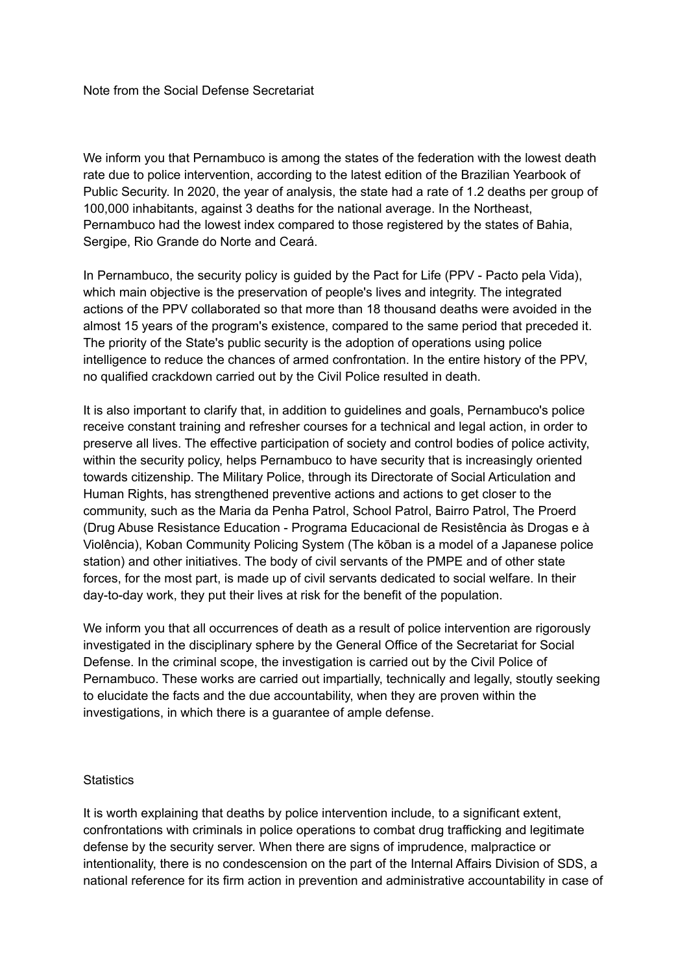We inform you that Pernambuco is among the states of the federation with the lowest death rate due to police intervention, according to the latest edition of the Brazilian Yearbook of Public Security. In 2020, the year of analysis, the state had a rate of 1.2 deaths per group of 100,000 inhabitants, against 3 deaths for the national average. In the Northeast, Pernambuco had the lowest index compared to those registered by the states of Bahia, Sergipe, Rio Grande do Norte and Ceará.

In Pernambuco, the security policy is guided by the Pact for Life (PPV - Pacto pela Vida), which main objective is the preservation of people's lives and integrity. The integrated actions of the PPV collaborated so that more than 18 thousand deaths were avoided in the almost 15 years of the program's existence, compared to the same period that preceded it. The priority of the State's public security is the adoption of operations using police intelligence to reduce the chances of armed confrontation. In the entire history of the PPV, no qualified crackdown carried out by the Civil Police resulted in death.

It is also important to clarify that, in addition to guidelines and goals, Pernambuco's police receive constant training and refresher courses for a technical and legal action, in order to preserve all lives. The effective participation of society and control bodies of police activity, within the security policy, helps Pernambuco to have security that is increasingly oriented towards citizenship. The Military Police, through its Directorate of Social Articulation and Human Rights, has strengthened preventive actions and actions to get closer to the community, such as the Maria da Penha Patrol, School Patrol, Bairro Patrol, The Proerd (Drug Abuse Resistance Education - Programa Educacional de Resistência às Drogas e à Violência), Koban Community Policing System (The kōban is a model of a Japanese police station) and other initiatives. The body of civil servants of the PMPE and of other state forces, for the most part, is made up of civil servants dedicated to social welfare. In their day-to-day work, they put their lives at risk for the benefit of the population.

We inform you that all occurrences of death as a result of police intervention are rigorously investigated in the disciplinary sphere by the General Office of the Secretariat for Social Defense. In the criminal scope, the investigation is carried out by the Civil Police of Pernambuco. These works are carried out impartially, technically and legally, stoutly seeking to elucidate the facts and the due accountability, when they are proven within the investigations, in which there is a guarantee of ample defense.

## **Statistics**

It is worth explaining that deaths by police intervention include, to a significant extent, confrontations with criminals in police operations to combat drug trafficking and legitimate defense by the security server. When there are signs of imprudence, malpractice or intentionality, there is no condescension on the part of the Internal Affairs Division of SDS, a national reference for its firm action in prevention and administrative accountability in case of